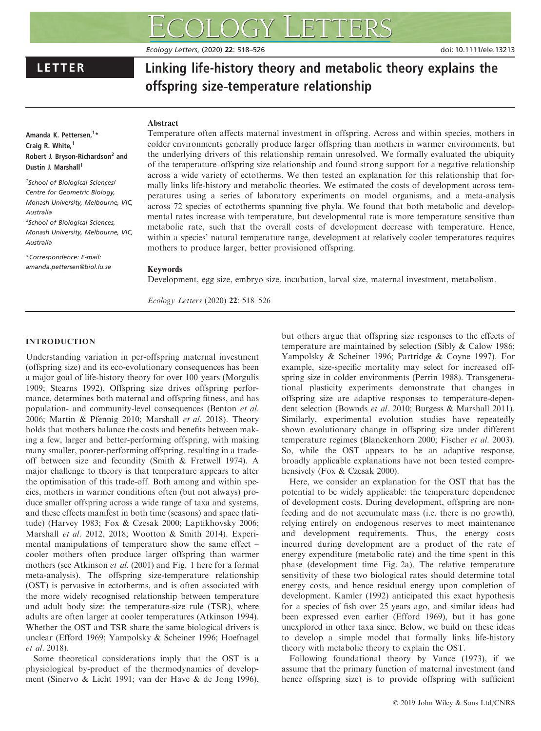# LETTER Linking life-history theory and metabolic theory explains the offspring size-temperature relationship

# Abstract

Amanda K. Pettersen,<sup>1</sup>\* Craig R. White,<sup>1</sup> Robert J. Bryson-Richardson<sup>2</sup> and Dustin J. Marshall<sup>1</sup>

1 School of Biological Sciences/ Centre for Geometric Biology, Monash University, Melbourne, VIC, Australia <sup>2</sup>School of Biological Sciences, Monash University, Melbourne, VIC, Australia

\*Correspondence: E-mail: [amanda.pettersen@biol.lu.se](mailto:) Temperature often affects maternal investment in offspring. Across and within species, mothers in colder environments generally produce larger offspring than mothers in warmer environments, but the underlying drivers of this relationship remain unresolved. We formally evaluated the ubiquity of the temperature–offspring size relationship and found strong support for a negative relationship across a wide variety of ectotherms. We then tested an explanation for this relationship that formally links life-history and metabolic theories. We estimated the costs of development across temperatures using a series of laboratory experiments on model organisms, and a meta-analysis across 72 species of ectotherms spanning five phyla. We found that both metabolic and developmental rates increase with temperature, but developmental rate is more temperature sensitive than metabolic rate, such that the overall costs of development decrease with temperature. Hence, within a species' natural temperature range, development at relatively cooler temperatures requires mothers to produce larger, better provisioned offspring.

# Keywords

Development, egg size, embryo size, incubation, larval size, maternal investment, metabolism.

Ecology Letters (2020) 22: 518–526

# INTRODUCTION

Understanding variation in per-offspring maternal investment (offspring size) and its eco-evolutionary consequences has been a major goal of life-history theory for over 100 years (Morgulis 1909; Stearns 1992). Offspring size drives offspring performance, determines both maternal and offspring fitness, and has population- and community-level consequences (Benton et al. 2006; Martin & Pfennig 2010; Marshall et al. 2018). Theory holds that mothers balance the costs and benefits between making a few, larger and better-performing offspring, with making many smaller, poorer-performing offspring, resulting in a tradeoff between size and fecundity (Smith & Fretwell 1974). A major challenge to theory is that temperature appears to alter the optimisation of this trade-off. Both among and within species, mothers in warmer conditions often (but not always) produce smaller offspring across a wide range of taxa and systems, and these effects manifest in both time (seasons) and space (latitude) (Harvey 1983; Fox & Czesak 2000; Laptikhovsky 2006; Marshall et al. 2012, 2018; Wootton & Smith 2014). Experimental manipulations of temperature show the same effect – cooler mothers often produce larger offspring than warmer mothers (see Atkinson *et al.* (2001) and Fig. 1 here for a formal meta-analysis). The offspring size-temperature relationship (OST) is pervasive in ectotherms, and is often associated with the more widely recognised relationship between temperature and adult body size: the temperature-size rule (TSR), where adults are often larger at cooler temperatures (Atkinson 1994). Whether the OST and TSR share the same biological drivers is unclear (Efford 1969; Yampolsky & Scheiner 1996; Hoefnagel et al. 2018).

Some theoretical considerations imply that the OST is a physiological by-product of the thermodynamics of development (Sinervo & Licht 1991; van der Have & de Jong 1996),

but others argue that offspring size responses to the effects of temperature are maintained by selection (Sibly & Calow 1986; Yampolsky & Scheiner 1996; Partridge & Coyne 1997). For example, size-specific mortality may select for increased offspring size in colder environments (Perrin 1988). Transgenerational plasticity experiments demonstrate that changes in offspring size are adaptive responses to temperature-dependent selection (Bownds et al. 2010; Burgess & Marshall 2011). Similarly, experimental evolution studies have repeatedly shown evolutionary change in offspring size under different temperature regimes (Blanckenhorn 2000; Fischer et al. 2003). So, while the OST appears to be an adaptive response, broadly applicable explanations have not been tested comprehensively (Fox & Czesak 2000).

Here, we consider an explanation for the OST that has the potential to be widely applicable: the temperature dependence of development costs. During development, offspring are nonfeeding and do not accumulate mass (i.e. there is no growth), relying entirely on endogenous reserves to meet maintenance and development requirements. Thus, the energy costs incurred during development are a product of the rate of energy expenditure (metabolic rate) and the time spent in this phase (development time Fig. 2a). The relative temperature sensitivity of these two biological rates should determine total energy costs, and hence residual energy upon completion of development. Kamler (1992) anticipated this exact hypothesis for a species of fish over 25 years ago, and similar ideas had been expressed even earlier (Efford 1969), but it has gone unexplored in other taxa since. Below, we build on these ideas to develop a simple model that formally links life-history theory with metabolic theory to explain the OST.

Following foundational theory by Vance (1973), if we assume that the primary function of maternal investment (and hence offspring size) is to provide offspring with sufficient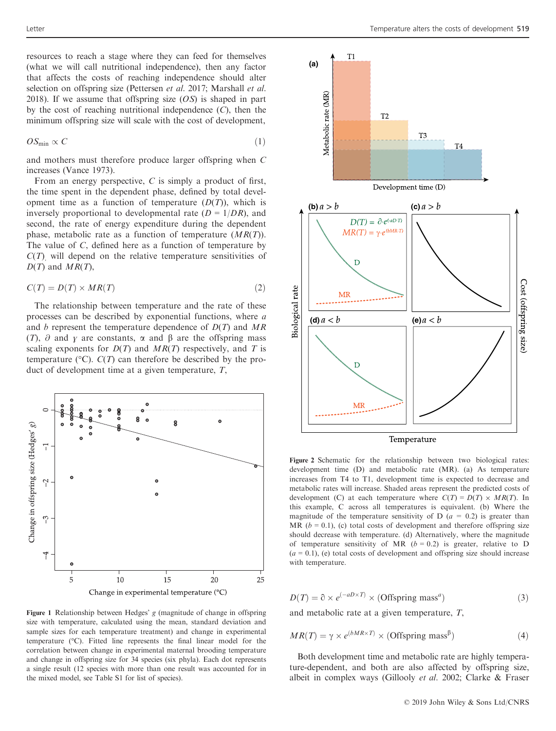resources to reach a stage where they can feed for themselves (what we will call nutritional independence), then any factor that affects the costs of reaching independence should alter selection on offspring size (Pettersen et al. 2017; Marshall et al. 2018). If we assume that offspring size  $(OS)$  is shaped in part by the cost of reaching nutritional independence  $(C)$ , then the minimum offspring size will scale with the cost of development,

$$
OS_{\min} \propto C \tag{1}
$$

and mothers must therefore produce larger offspring when C increases (Vance 1973).

From an energy perspective, C is simply a product of first, the time spent in the dependent phase, defined by total development time as a function of temperature  $(D(T))$ , which is inversely proportional to developmental rate  $(D = 1/DR)$ , and second, the rate of energy expenditure during the dependent phase, metabolic rate as a function of temperature  $(MR(T))$ . The value of C, defined here as a function of temperature by  $C(T)$ , will depend on the relative temperature sensitivities of  $D(T)$  and  $MR(T)$ ,

$$
C(T) = D(T) \times MR(T)
$$
\n(2)

The relationship between temperature and the rate of these processes can be described by exponential functions, where a and  $b$  represent the temperature dependence of  $D(T)$  and  $MR$ (T),  $\partial$  and  $\gamma$  are constants,  $\alpha$  and  $\beta$  are the offspring mass scaling exponents for  $D(T)$  and  $MR(T)$  respectively, and T is temperature ( $\rm{°C}$ ).  $C(T)$  can therefore be described by the product of development time at a given temperature, T,



Figure 1 Relationship between Hedges' g (magnitude of change in offspring size with temperature, calculated using the mean, standard deviation and sample sizes for each temperature treatment) and change in experimental temperature (°C). Fitted line represents the final linear model for the correlation between change in experimental maternal brooding temperature and change in offspring size for 34 species (six phyla). Each dot represents a single result (12 species with more than one result was accounted for in the mixed model, see Table S1 for list of species).



Figure 2 Schematic for the relationship between two biological rates: development time (D) and metabolic rate (MR). (a) As temperature increases from T4 to T1, development time is expected to decrease and metabolic rates will increase. Shaded areas represent the predicted costs of development (C) at each temperature where  $C(T) = D(T) \times MR(T)$ . In this example, C across all temperatures is equivalent. (b) Where the magnitude of the temperature sensitivity of D  $(a = 0.2)$  is greater than MR  $(b = 0.1)$ , (c) total costs of development and therefore offspring size should decrease with temperature. (d) Alternatively, where the magnitude of temperature sensitivity of MR  $(b = 0.2)$  is greater, relative to D  $(a = 0.1)$ , (e) total costs of development and offspring size should increase with temperature.

$$
D(T) = \partial \times e^{(-aD \times T)} \times (\text{Offspring mass}^a)
$$
 (3)

and metabolic rate at a given temperature, T,

$$
MR(T) = \gamma \times e^{(bMR \times T)} \times (\text{Offspring mass}^{\beta})
$$
 (4)

Both development time and metabolic rate are highly temperature-dependent, and both are also affected by offspring size, albeit in complex ways (Gillooly et al. 2002; Clarke & Fraser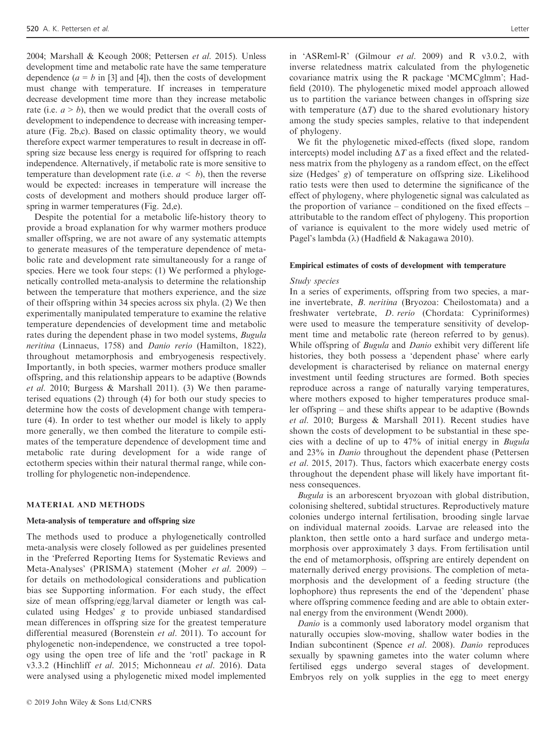2004; Marshall & Keough 2008; Pettersen et al. 2015). Unless development time and metabolic rate have the same temperature dependence  $(a = b \text{ in } [3]$  and [4]), then the costs of development must change with temperature. If increases in temperature decrease development time more than they increase metabolic rate (i.e.  $a > b$ ), then we would predict that the overall costs of development to independence to decrease with increasing temperature (Fig. 2b,c). Based on classic optimality theory, we would therefore expect warmer temperatures to result in decrease in offspring size because less energy is required for offspring to reach independence. Alternatively, if metabolic rate is more sensitive to temperature than development rate (i.e.  $a \leq b$ ), then the reverse would be expected: increases in temperature will increase the costs of development and mothers should produce larger offspring in warmer temperatures (Fig. 2d,e).

Despite the potential for a metabolic life-history theory to provide a broad explanation for why warmer mothers produce smaller offspring, we are not aware of any systematic attempts to generate measures of the temperature dependence of metabolic rate and development rate simultaneously for a range of species. Here we took four steps: (1) We performed a phylogenetically controlled meta-analysis to determine the relationship between the temperature that mothers experience, and the size of their offspring within 34 species across six phyla. (2) We then experimentally manipulated temperature to examine the relative temperature dependencies of development time and metabolic rates during the dependent phase in two model systems, Bugula neritina (Linnaeus, 1758) and Danio rerio (Hamilton, 1822), throughout metamorphosis and embryogenesis respectively. Importantly, in both species, warmer mothers produce smaller offspring, and this relationship appears to be adaptive (Bownds et al. 2010; Burgess & Marshall 2011). (3) We then parameterised equations (2) through (4) for both our study species to determine how the costs of development change with temperature (4). In order to test whether our model is likely to apply more generally, we then combed the literature to compile estimates of the temperature dependence of development time and metabolic rate during development for a wide range of ectotherm species within their natural thermal range, while controlling for phylogenetic non-independence.

#### MATERIAL AND METHODS

#### Meta-analysis of temperature and offspring size

The methods used to produce a phylogenetically controlled meta-analysis were closely followed as per guidelines presented in the 'Preferred Reporting Items for Systematic Reviews and Meta-Analyses' (PRISMA) statement (Moher et al. 2009) – for details on methodological considerations and publication bias see Supporting information. For each study, the effect size of mean offspring/egg/larval diameter or length was calculated using Hedges' g to provide unbiased standardised mean differences in offspring size for the greatest temperature differential measured (Borenstein et al. 2011). To account for phylogenetic non-independence, we constructed a tree topology using the open tree of life and the 'rotl' package in R v3.3.2 (Hinchliff et al. 2015; Michonneau et al. 2016). Data were analysed using a phylogenetic mixed model implemented

in 'ASReml-R' (Gilmour et al. 2009) and R v3.0.2, with inverse relatedness matrix calculated from the phylogenetic covariance matrix using the R package 'MCMCglmm'; Hadfield (2010). The phylogenetic mixed model approach allowed us to partition the variance between changes in offspring size with temperature  $(\Delta T)$  due to the shared evolutionary history among the study species samples, relative to that independent of phylogeny.

We fit the phylogenetic mixed-effects (fixed slope, random intercepts) model including  $\Delta T$  as a fixed effect and the relatedness matrix from the phylogeny as a random effect, on the effect size (Hedges' g) of temperature on offspring size. Likelihood ratio tests were then used to determine the significance of the effect of phylogeny, where phylogenetic signal was calculated as the proportion of variance – conditioned on the fixed effects – attributable to the random effect of phylogeny. This proportion of variance is equivalent to the more widely used metric of Pagel's lambda (λ) (Hadfield & Nakagawa 2010).

#### Empirical estimates of costs of development with temperature

#### Study species

In a series of experiments, offspring from two species, a marine invertebrate, B. neritina (Bryozoa: Cheilostomata) and a freshwater vertebrate, D. rerio (Chordata: Cypriniformes) were used to measure the temperature sensitivity of development time and metabolic rate (hereon referred to by genus). While offspring of *Bugula* and *Danio* exhibit very different life histories, they both possess a 'dependent phase' where early development is characterised by reliance on maternal energy investment until feeding structures are formed. Both species reproduce across a range of naturally varying temperatures, where mothers exposed to higher temperatures produce smaller offspring – and these shifts appear to be adaptive (Bownds et al. 2010; Burgess & Marshall 2011). Recent studies have shown the costs of development to be substantial in these species with a decline of up to 47% of initial energy in Bugula and 23% in Danio throughout the dependent phase (Pettersen et al. 2015, 2017). Thus, factors which exacerbate energy costs throughout the dependent phase will likely have important fitness consequences.

Bugula is an arborescent bryozoan with global distribution, colonising sheltered, subtidal structures. Reproductively mature colonies undergo internal fertilisation, brooding single larvae on individual maternal zooids. Larvae are released into the plankton, then settle onto a hard surface and undergo metamorphosis over approximately 3 days. From fertilisation until the end of metamorphosis, offspring are entirely dependent on maternally derived energy provisions. The completion of metamorphosis and the development of a feeding structure (the lophophore) thus represents the end of the 'dependent' phase where offspring commence feeding and are able to obtain external energy from the environment (Wendt 2000).

Danio is a commonly used laboratory model organism that naturally occupies slow-moving, shallow water bodies in the Indian subcontinent (Spence et al. 2008). Danio reproduces sexually by spawning gametes into the water column where fertilised eggs undergo several stages of development. Embryos rely on yolk supplies in the egg to meet energy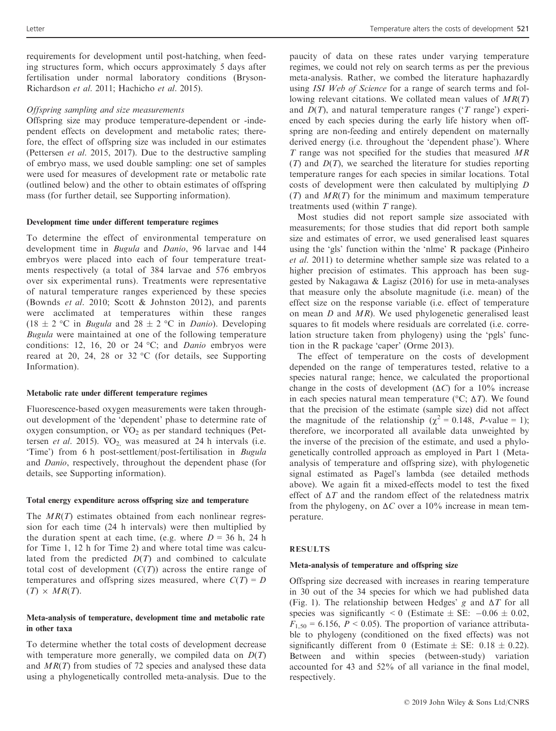requirements for development until post-hatching, when feeding structures form, which occurs approximately 5 days after fertilisation under normal laboratory conditions (Bryson-Richardson et al. 2011; Hachicho et al. 2015).

#### Offspring sampling and size measurements

Offspring size may produce temperature-dependent or -independent effects on development and metabolic rates; therefore, the effect of offspring size was included in our estimates (Pettersen et al. 2015, 2017). Due to the destructive sampling of embryo mass, we used double sampling: one set of samples were used for measures of development rate or metabolic rate (outlined below) and the other to obtain estimates of offspring mass (for further detail, see Supporting information).

#### Development time under different temperature regimes

To determine the effect of environmental temperature on development time in Bugula and Danio, 96 larvae and 144 embryos were placed into each of four temperature treatments respectively (a total of 384 larvae and 576 embryos over six experimental runs). Treatments were representative of natural temperature ranges experienced by these species (Bownds et al. 2010; Scott & Johnston 2012), and parents were acclimated at temperatures within these ranges (18  $\pm$  2 °C in *Bugula* and 28  $\pm$  2 °C in *Danio*). Developing Bugula were maintained at one of the following temperature conditions: 12, 16, 20 or 24  $^{\circ}$ C; and *Danio* embryos were reared at 20, 24, 28 or 32 °C (for details, see Supporting Information).

#### Metabolic rate under different temperature regimes

Fluorescence-based oxygen measurements were taken throughout development of the 'dependent' phase to determine rate of oxygen consumption, or  $\rm\ddot{VO}_2$  as per standard techniques (Pettersen et al. 2015).  $\text{VO}_2$  was measured at 24 h intervals (i.e. 'Time') from 6 h post-settlement/post-fertilisation in Bugula and Danio, respectively, throughout the dependent phase (for details, see Supporting information).

#### Total energy expenditure across offspring size and temperature

The  $MR(T)$  estimates obtained from each nonlinear regression for each time (24 h intervals) were then multiplied by the duration spent at each time, (e.g. where  $D = 36$  h, 24 h for Time 1, 12 h for Time 2) and where total time was calculated from the predicted  $D(T)$  and combined to calculate total cost of development  $(C(T))$  across the entire range of temperatures and offspring sizes measured, where  $C(T) = D$  $(T) \times MR(T)$ .

# Meta-analysis of temperature, development time and metabolic rate in other taxa

To determine whether the total costs of development decrease with temperature more generally, we compiled data on  $D(T)$ and  $MR(T)$  from studies of 72 species and analysed these data using a phylogenetically controlled meta-analysis. Due to the

paucity of data on these rates under varying temperature regimes, we could not rely on search terms as per the previous meta-analysis. Rather, we combed the literature haphazardly using ISI Web of Science for a range of search terms and following relevant citations. We collated mean values of  $MR(T)$ and  $D(T)$ , and natural temperature ranges ('T range') experienced by each species during the early life history when offspring are non-feeding and entirely dependent on maternally derived energy (i.e. throughout the 'dependent phase'). Where  $T$  range was not specified for the studies that measured  $MR$  $(T)$  and  $D(T)$ , we searched the literature for studies reporting temperature ranges for each species in similar locations. Total costs of development were then calculated by multiplying D  $(T)$  and  $MR(T)$  for the minimum and maximum temperature treatments used (within  $T$  range).

Most studies did not report sample size associated with measurements; for those studies that did report both sample size and estimates of error, we used generalised least squares using the 'gls' function within the 'nlme' R package (Pinheiro et al. 2011) to determine whether sample size was related to a higher precision of estimates. This approach has been suggested by Nakagawa & Lagisz (2016) for use in meta-analyses that measure only the absolute magnitude (i.e. mean) of the effect size on the response variable (i.e. effect of temperature on mean  $D$  and  $MR$ ). We used phylogenetic generalised least squares to fit models where residuals are correlated (i.e. correlation structure taken from phylogeny) using the 'pgls' function in the R package 'caper' (Orme 2013).

The effect of temperature on the costs of development depended on the range of temperatures tested, relative to a species natural range; hence, we calculated the proportional change in the costs of development  $(ΔC)$  for a 10% increase in each species natural mean temperature ( ${}^{\circ}C$ ;  $\Delta T$ ). We found that the precision of the estimate (sample size) did not affect the magnitude of the relationship ( $\chi^2 = 0.148$ , *P*-value = 1); therefore, we incorporated all available data unweighted by the inverse of the precision of the estimate, and used a phylogenetically controlled approach as employed in Part 1 (Metaanalysis of temperature and offspring size), with phylogenetic signal estimated as Pagel's lambda (see detailed methods above). We again fit a mixed-effects model to test the fixed effect of  $\Delta T$  and the random effect of the relatedness matrix from the phylogeny, on  $\Delta C$  over a 10% increase in mean temperature.

# RESULTS

#### Meta-analysis of temperature and offspring size

Offspring size decreased with increases in rearing temperature in 30 out of the 34 species for which we had published data (Fig. 1). The relationship between Hedges' g and  $\Delta T$  for all species was significantly < 0 (Estimate  $\pm$  SE:  $-0.06 \pm 0.02$ ,  $F_{1,50} = 6.156$ ,  $P \le 0.05$ ). The proportion of variance attributable to phylogeny (conditioned on the fixed effects) was not significantly different from 0 (Estimate  $\pm$  SE: 0.18  $\pm$  0.22). Between and within species (between-study) variation accounted for 43 and 52% of all variance in the final model, respectively.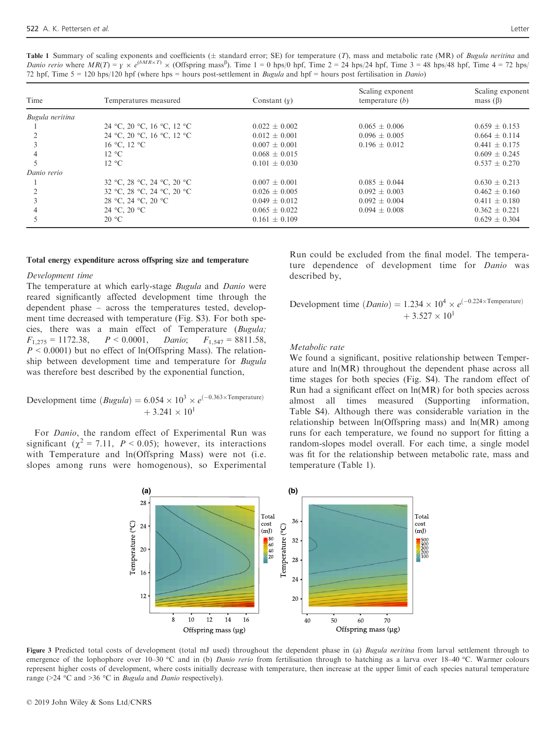| Time            | Temperatures measured      | Constant $(y)$    | Scaling exponent<br>temperature $(b)$ | Scaling exponent<br>mass $(\beta)$ |
|-----------------|----------------------------|-------------------|---------------------------------------|------------------------------------|
| Bugula neritina |                            |                   |                                       |                                    |
|                 | 24 °C, 20 °C, 16 °C, 12 °C | $0.022 + 0.002$   | $0.065 \pm 0.006$                     | $0.659 + 0.153$                    |
|                 | 24 °C, 20 °C, 16 °C, 12 °C | $0.012 \pm 0.001$ | $0.096 \pm 0.005$                     | $0.664 + 0.114$                    |
|                 | 16 °C, 12 °C               | $0.007 \pm 0.001$ | $0.196 \pm 0.012$                     | $0.441 \pm 0.175$                  |
|                 | $12 \text{ °C}$            | $0.068 + 0.015$   |                                       | $0.609 + 0.245$                    |
|                 | $12 \text{ °C}$            | $0.101 \pm 0.030$ |                                       | $0.537 \pm 0.270$                  |
| Danio rerio     |                            |                   |                                       |                                    |
|                 | 32 °C, 28 °C, 24 °C, 20 °C | $0.007 + 0.001$   | $0.085 + 0.044$                       | $0.630 + 0.213$                    |
|                 | 32 °C, 28 °C, 24 °C, 20 °C | $0.026 \pm 0.005$ | $0.092 \pm 0.003$                     | $0.462 \pm 0.160$                  |
|                 | 28 °C, 24 °C, 20 °C        | $0.049 + 0.012$   | $0.092 \pm 0.004$                     | $0.411 \pm 0.180$                  |
|                 | 24 °C, 20 °C               | $0.065 + 0.022$   | $0.094 + 0.008$                       | $0.362 \pm 0.221$                  |
|                 | 20 °C                      | $0.161 \pm 0.109$ |                                       | $0.629 \pm 0.304$                  |
|                 |                            |                   |                                       |                                    |

Table 1 Summary of scaling exponents and coefficients ( $\pm$  standard error; SE) for temperature (T), mass and metabolic rate (MR) of Bugula neritina and *Danio rerio* where  $MR(T) = Y \times e^{(bMR \times T)} \times$  (Offspring mass<sup>B</sup>). Time 1 = 0 hps/0 hpf, Time 2 = 24 hps/24 hpf, Time 3 = 48 hps/48 hpf, Time 4 = 72 hps/ 72 hpf, Time 5 = 120 hps/120 hpf (where hps = hours post-settlement in Bugula and hpf = hours post fertilisation in Danio)

#### Total energy expenditure across offspring size and temperature

# Development time

The temperature at which early-stage Bugula and Danio were reared significantly affected development time through the dependent phase – across the temperatures tested, development time decreased with temperature (Fig. S3). For both species, there was a main effect of Temperature (Bugula;  $F_{1,275} = 1172.38$ ,  $P < 0.0001$ , *Danio*;  $F_{1,547} = 8811.58$ ,  $P \le 0.0001$ ) but no effect of ln(Offspring Mass). The relationship between development time and temperature for *Bugula* was therefore best described by the exponential function,

Development time  $(Bugula) = 6.054 \times 10^3 \times e^{(-0.363 \times \text{Temperature})}$  $+3.241 \times 10^{1}$ 

For Danio, the random effect of Experimental Run was significant ( $\chi^2$  = 7.11, P < 0.05); however, its interactions with Temperature and ln(Offspring Mass) were not (i.e. slopes among runs were homogenous), so Experimental Run could be excluded from the final model. The temperature dependence of development time for Danio was described by,

Development time  $(Danio) = 1.234 \times 10^4 \times e^{(-0.224 \times \text{Temperature})}$  $+3.527 \times 10^{1}$ 

# Metabolic rate

We found a significant, positive relationship between Temperature and ln(MR) throughout the dependent phase across all time stages for both species (Fig. S4). The random effect of Run had a significant effect on ln(MR) for both species across almost all times measured (Supporting information, Table S4). Although there was considerable variation in the relationship between ln(Offspring mass) and ln(MR) among runs for each temperature, we found no support for fitting a random-slopes model overall. For each time, a single model was fit for the relationship between metabolic rate, mass and temperature (Table 1).



Figure 3 Predicted total costs of development (total mJ used) throughout the dependent phase in (a) Bugula neritina from larval settlement through to emergence of the lophophore over 10–30 °C and in (b) Danio rerio from fertilisation through to hatching as a larva over 18–40 °C. Warmer colours represent higher costs of development, where costs initially decrease with temperature, then increase at the upper limit of each species natural temperature range (>24 °C and >36 °C in *Bugula* and *Danio* respectively).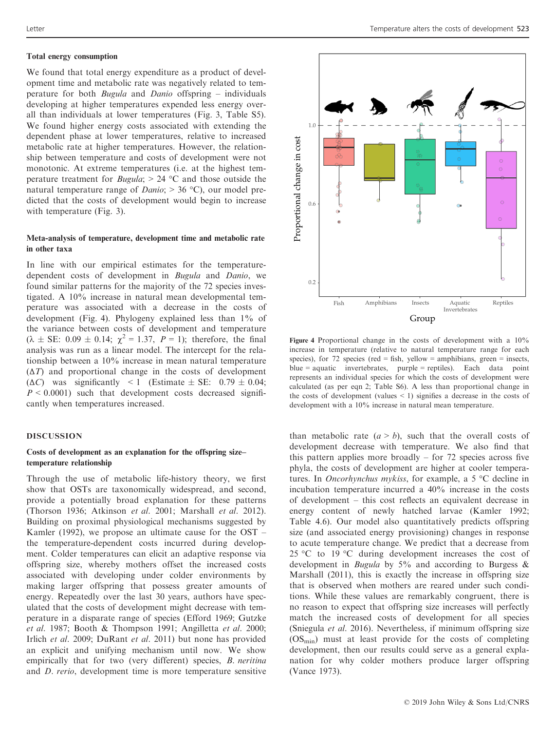# Total energy consumption

We found that total energy expenditure as a product of development time and metabolic rate was negatively related to temperature for both Bugula and Danio offspring – individuals developing at higher temperatures expended less energy overall than individuals at lower temperatures (Fig. 3, Table S5). We found higher energy costs associated with extending the dependent phase at lower temperatures, relative to increased metabolic rate at higher temperatures. However, the relationship between temperature and costs of development were not monotonic. At extreme temperatures (i.e. at the highest temperature treatment for *Bugula*;  $> 24$  °C and those outside the natural temperature range of  $Danio$ ;  $> 36$  °C), our model predicted that the costs of development would begin to increase with temperature (Fig. 3).

# Meta-analysis of temperature, development time and metabolic rate in other taxa

In line with our empirical estimates for the temperaturedependent costs of development in Bugula and Danio, we found similar patterns for the majority of the 72 species investigated. A 10% increase in natural mean developmental temperature was associated with a decrease in the costs of development (Fig. 4). Phylogeny explained less than 1% of the variance between costs of development and temperature  $(\lambda \pm SE: 0.09 \pm 0.14; \chi^2 = 1.37, P = 1)$ ; therefore, the final analysis was run as a linear model. The intercept for the relationship between a 10% increase in mean natural temperature  $(\Delta T)$  and proportional change in the costs of development ( $\Delta C$ ) was significantly < 1 (Estimate  $\pm$  SE: 0.79  $\pm$  0.04;  $P < 0.0001$ ) such that development costs decreased significantly when temperatures increased.

# DISCUSSION

#### Costs of development as an explanation for the offspring size– temperature relationship

Through the use of metabolic life-history theory, we first show that OSTs are taxonomically widespread, and second, provide a potentially broad explanation for these patterns (Thorson 1936; Atkinson et al. 2001; Marshall et al. 2012). Building on proximal physiological mechanisms suggested by Kamler (1992), we propose an ultimate cause for the OST – the temperature-dependent costs incurred during development. Colder temperatures can elicit an adaptive response via offspring size, whereby mothers offset the increased costs associated with developing under colder environments by making larger offspring that possess greater amounts of energy. Repeatedly over the last 30 years, authors have speculated that the costs of development might decrease with temperature in a disparate range of species (Efford 1969; Gutzke et al. 1987; Booth & Thompson 1991; Angilletta et al. 2000; Irlich et al. 2009; DuRant et al. 2011) but none has provided an explicit and unifying mechanism until now. We show empirically that for two (very different) species, B. neritina and D. rerio, development time is more temperature sensitive



Figure 4 Proportional change in the costs of development with a  $10\%$ increase in temperature (relative to natural temperature range for each species), for 72 species (red = fish, yellow = amphibians, green = insects, blue = aquatic invertebrates, purple = reptiles). Each data point represents an individual species for which the costs of development were calculated (as per eqn 2; Table S6). A less than proportional change in the costs of development (values < 1) signifies a decrease in the costs of development with a 10% increase in natural mean temperature.

than metabolic rate  $(a > b)$ , such that the overall costs of development decrease with temperature. We also find that this pattern applies more broadly – for 72 species across five phyla, the costs of development are higher at cooler temperatures. In Oncorhynchus mykiss, for example, a 5 °C decline in incubation temperature incurred a 40% increase in the costs of development – this cost reflects an equivalent decrease in energy content of newly hatched larvae (Kamler 1992; Table 4.6). Our model also quantitatively predicts offspring size (and associated energy provisioning) changes in response to acute temperature change. We predict that a decrease from 25 °C to 19 °C during development increases the cost of development in *Bugula* by 5% and according to Burgess  $\&$ Marshall (2011), this is exactly the increase in offspring size that is observed when mothers are reared under such conditions. While these values are remarkably congruent, there is no reason to expect that offspring size increases will perfectly match the increased costs of development for all species (Sniegula et al. 2016). Nevertheless, if minimum offspring size  $(OS_{\text{min}})$  must at least provide for the costs of completing development, then our results could serve as a general explanation for why colder mothers produce larger offspring (Vance 1973).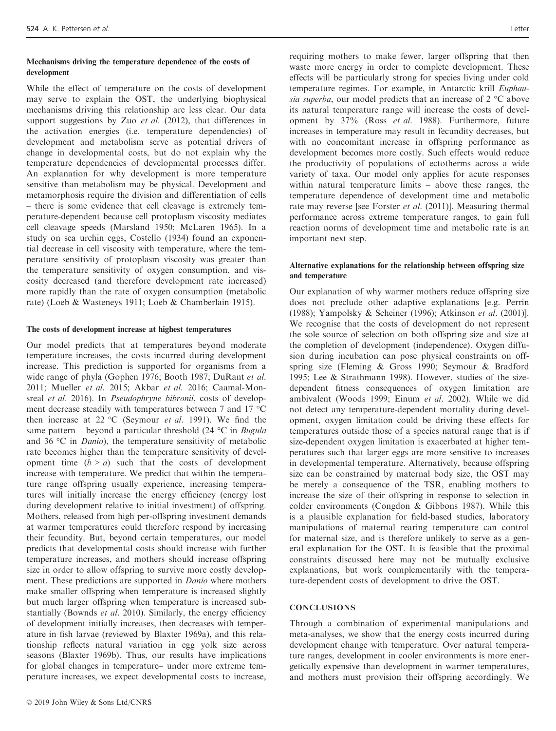# Mechanisms driving the temperature dependence of the costs of development

While the effect of temperature on the costs of development may serve to explain the OST, the underlying biophysical mechanisms driving this relationship are less clear. Our data support suggestions by Zuo et al. (2012), that differences in the activation energies (i.e. temperature dependencies) of development and metabolism serve as potential drivers of change in developmental costs, but do not explain why the temperature dependencies of developmental processes differ. An explanation for why development is more temperature sensitive than metabolism may be physical. Development and metamorphosis require the division and differentiation of cells – there is some evidence that cell cleavage is extremely temperature-dependent because cell protoplasm viscosity mediates cell cleavage speeds (Marsland 1950; McLaren 1965). In a study on sea urchin eggs, Costello (1934) found an exponential decrease in cell viscosity with temperature, where the temperature sensitivity of protoplasm viscosity was greater than the temperature sensitivity of oxygen consumption, and viscosity decreased (and therefore development rate increased) more rapidly than the rate of oxygen consumption (metabolic rate) (Loeb & Wasteneys 1911; Loeb & Chamberlain 1915).

# The costs of development increase at highest temperatures

Our model predicts that at temperatures beyond moderate temperature increases, the costs incurred during development increase. This prediction is supported for organisms from a wide range of phyla (Gophen 1976; Booth 1987; DuRant et al. 2011; Mueller et al. 2015; Akbar et al. 2016; Caamal-Monsreal et al. 2016). In Pseudophryne bibronii, costs of development decrease steadily with temperatures between 7 and 17 °C then increase at 22 °C (Seymour et al. 1991). We find the same pattern – beyond a particular threshold  $(24 °C)$  in *Bugula* and 36 °C in Danio), the temperature sensitivity of metabolic rate becomes higher than the temperature sensitivity of development time  $(b > a)$  such that the costs of development increase with temperature. We predict that within the temperature range offspring usually experience, increasing temperatures will initially increase the energy efficiency (energy lost during development relative to initial investment) of offspring. Mothers, released from high per-offspring investment demands at warmer temperatures could therefore respond by increasing their fecundity. But, beyond certain temperatures, our model predicts that developmental costs should increase with further temperature increases, and mothers should increase offspring size in order to allow offspring to survive more costly development. These predictions are supported in Danio where mothers make smaller offspring when temperature is increased slightly but much larger offspring when temperature is increased substantially (Bownds et al. 2010). Similarly, the energy efficiency of development initially increases, then decreases with temperature in fish larvae (reviewed by Blaxter 1969a), and this relationship reflects natural variation in egg yolk size across seasons (Blaxter 1969b). Thus, our results have implications for global changes in temperature– under more extreme temperature increases, we expect developmental costs to increase,

requiring mothers to make fewer, larger offspring that then waste more energy in order to complete development. These effects will be particularly strong for species living under cold temperature regimes. For example, in Antarctic krill Euphausia superba, our model predicts that an increase of  $2 \text{ }^{\circ}C$  above its natural temperature range will increase the costs of development by 37% (Ross et al. 1988). Furthermore, future increases in temperature may result in fecundity decreases, but with no concomitant increase in offspring performance as development becomes more costly. Such effects would reduce the productivity of populations of ectotherms across a wide variety of taxa. Our model only applies for acute responses within natural temperature limits – above these ranges, the temperature dependence of development time and metabolic rate may reverse [see Forster et al. (2011)]. Measuring thermal performance across extreme temperature ranges, to gain full reaction norms of development time and metabolic rate is an important next step.

# Alternative explanations for the relationship between offspring size and temperature

Our explanation of why warmer mothers reduce offspring size does not preclude other adaptive explanations [e.g. Perrin (1988); Yampolsky & Scheiner (1996); Atkinson et al. (2001)]. We recognise that the costs of development do not represent the sole source of selection on both offspring size and size at the completion of development (independence). Oxygen diffusion during incubation can pose physical constraints on offspring size (Fleming & Gross 1990; Seymour & Bradford 1995; Lee & Strathmann 1998). However, studies of the sizedependent fitness consequences of oxygen limitation are ambivalent (Woods 1999; Einum et al. 2002). While we did not detect any temperature-dependent mortality during development, oxygen limitation could be driving these effects for temperatures outside those of a species natural range that is if size-dependent oxygen limitation is exacerbated at higher temperatures such that larger eggs are more sensitive to increases in developmental temperature. Alternatively, because offspring size can be constrained by maternal body size, the OST may be merely a consequence of the TSR, enabling mothers to increase the size of their offspring in response to selection in colder environments (Congdon & Gibbons 1987). While this is a plausible explanation for field-based studies, laboratory manipulations of maternal rearing temperature can control for maternal size, and is therefore unlikely to serve as a general explanation for the OST. It is feasible that the proximal constraints discussed here may not be mutually exclusive explanations, but work complementarily with the temperature-dependent costs of development to drive the OST.

# **CONCLUSIONS**

Through a combination of experimental manipulations and meta-analyses, we show that the energy costs incurred during development change with temperature. Over natural temperature ranges, development in cooler environments is more energetically expensive than development in warmer temperatures, and mothers must provision their offspring accordingly. We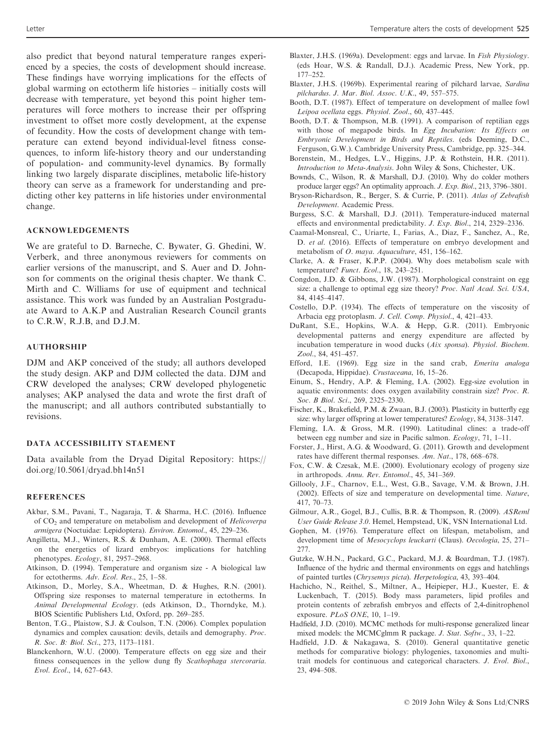also predict that beyond natural temperature ranges experienced by a species, the costs of development should increase. These findings have worrying implications for the effects of global warming on ectotherm life histories – initially costs will decrease with temperature, yet beyond this point higher temperatures will force mothers to increase their per offspring investment to offset more costly development, at the expense of fecundity. How the costs of development change with temperature can extend beyond individual-level fitness consequences, to inform life-history theory and our understanding of population- and community-level dynamics. By formally linking two largely disparate disciplines, metabolic life-history theory can serve as a framework for understanding and predicting other key patterns in life histories under environmental change.

# ACKNOWLEDGEMENTS

We are grateful to D. Barneche, C. Bywater, G. Ghedini, W. Verberk, and three anonymous reviewers for comments on earlier versions of the manuscript, and S. Auer and D. Johnson for comments on the original thesis chapter. We thank C. Mirth and C. Williams for use of equipment and technical assistance. This work was funded by an Australian Postgraduate Award to A.K.P and Australian Research Council grants to C.R.W, R.J.B, and D.J.M.

## AUTHORSHIP

DJM and AKP conceived of the study; all authors developed the study design. AKP and DJM collected the data. DJM and CRW developed the analyses; CRW developed phylogenetic analyses; AKP analysed the data and wrote the first draft of the manuscript; and all authors contributed substantially to revisions.

#### DATA ACCESSIBILITY STAEMENT

Data available from the Dryad Digital Repository: [https://](https://doi.org/10.5061/dryad.bh14n51) [doi.org/10.5061/dryad.bh14n51](https://doi.org/10.5061/dryad.bh14n51)

#### **REFERENCES**

- Akbar, S.M., Pavani, T., Nagaraja, T. & Sharma, H.C. (2016). Influence of CO<sub>2</sub> and temperature on metabolism and development of *Helicoverpa* armigera (Noctuidae: Lepidoptera). Environ. Entomol., 45, 229–236.
- Angilletta, M.J., Winters, R.S. & Dunham, A.E. (2000). Thermal effects on the energetics of lizard embryos: implications for hatchling phenotypes. Ecology, 81, 2957–2968.
- Atkinson, D. (1994). Temperature and organism size A biological law for ectotherms. Adv. Ecol. Res., 25, 1–58.
- Atkinson, D., Morley, S.A., Wheetman, D. & Hughes, R.N. (2001). Offspring size responses to maternal temperature in ectotherms. In Animal Developmental Ecology. (eds Atkinson, D., Thorndyke, M.). BIOS Scientific Publishers Ltd, Oxford, pp. 269–285.
- Benton, T.G., Plaistow, S.J. & Coulson, T.N. (2006). Complex population dynamics and complex causation: devils, details and demography. Proc. R. Soc. B: Biol. Sci., 273, 1173–1181.
- Blanckenhorn, W.U. (2000). Temperature effects on egg size and their fitness consequences in the yellow dung fly Scathophaga stercoraria. Evol. Ecol., 14, 627–643.
- Blaxter, J.H.S. (1969a). Development: eggs and larvae. In Fish Physiology. (eds Hoar, W.S. & Randall, D.J.). Academic Press, New York, pp. 177–252.
- Blaxter, J.H.S. (1969b). Experimental rearing of pilchard larvae, Sardina pilchardus. J. Mar. Biol. Assoc. U.K., 49, 557–575.
- Booth, D.T. (1987). Effect of temperature on development of mallee fowl Leipoa ocellata eggs. Physiol. Zool., 60, 437–445.
- Booth, D.T. & Thompson, M.B. (1991). A comparison of reptilian eggs with those of megapode birds. In Egg Incubation: Its Effects on Embryonic Development in Birds and Reptiles. (eds Deeming, D.C., Ferguson, G.W.). Cambridge University Press, Cambridge, pp. 325–344.
- Borenstein, M., Hedges, L.V., Higgins, J.P. & Rothstein, H.R. (2011). Introduction to Meta-Analysis. John Wiley & Sons, Chichester, UK.
- Bownds, C., Wilson, R. & Marshall, D.J. (2010). Why do colder mothers produce larger eggs? An optimality approach. J. Exp. Biol., 213, 3796–3801.
- Bryson-Richardson, R., Berger, S. & Currie, P. (2011). Atlas of Zebrafish Development. Academic Press.
- Burgess, S.C. & Marshall, D.J. (2011). Temperature-induced maternal effects and environmental predictability. J. Exp. Biol., 214, 2329–2336.
- Caamal-Monsreal, C., Uriarte, I., Farias, A., Diaz, F., Sanchez, A., Re, D. et al. (2016). Effects of temperature on embryo development and metabolism of O. maya. Aquaculture, 451, 156–162.
- Clarke, A. & Fraser, K.P.P. (2004). Why does metabolism scale with temperature? Funct. Ecol., 18, 243–251.
- Congdon, J.D. & Gibbons, J.W. (1987). Morphological constraint on egg size: a challenge to optimal egg size theory? Proc. Natl Acad. Sci. USA, 84, 4145–4147.
- Costello, D.P. (1934). The effects of temperature on the viscosity of Arbacia egg protoplasm. J. Cell. Comp. Physiol., 4, 421–433.
- DuRant, S.E., Hopkins, W.A. & Hepp, G.R. (2011). Embryonic developmental patterns and energy expenditure are affected by incubation temperature in wood ducks (Aix sponsa). Physiol. Biochem. Zool., 84, 451–457.
- Efford, I.E. (1969). Egg size in the sand crab, Emerita analoga (Decapoda, Hippidae). Crustaceana, 16, 15–26.
- Einum, S., Hendry, A.P. & Fleming, I.A. (2002). Egg-size evolution in aquatic environments: does oxygen availability constrain size? Proc. R. Soc. B Biol. Sci., 269, 2325–2330.
- Fischer, K., Brakefield, P.M. & Zwaan, B.J. (2003). Plasticity in butterfly egg size: why larger offspring at lower temperatures? *Ecology*, 84, 3138–3147.
- Fleming, I.A. & Gross, M.R. (1990). Latitudinal clines: a trade-off between egg number and size in Pacific salmon. Ecology, 71, 1–11.
- Forster, J., Hirst, A.G. & Woodward, G. (2011). Growth and development rates have different thermal responses. Am. Nat., 178, 668–678.
- Fox, C.W. & Czesak, M.E. (2000). Evolutionary ecology of progeny size in arthropods. Annu. Rev. Entomol., 45, 341–369.
- Gillooly, J.F., Charnov, E.L., West, G.B., Savage, V.M. & Brown, J.H. (2002). Effects of size and temperature on developmental time. Nature, 417, 70–73.
- Gilmour, A.R., Gogel, B.J., Cullis, B.R. & Thompson, R. (2009). ASReml User Guide Release 3.0. Hemel, Hempstead, UK, VSN International Ltd.
- Gophen, M. (1976). Temperature effect on lifespan, metabolism, and development time of Mesocyclops leuckarti (Claus). Oecologia, 25, 271– 277.
- Gutzke, W.H.N., Packard, G.C., Packard, M.J. & Boardman, T.J. (1987). Influence of the hydric and thermal environments on eggs and hatchlings of painted turtles (Chrysemys picta). Herpetologica, 43, 393–404.
- Hachicho, N., Reithel, S., Miltner, A., Heipieper, H.J., Kuester, E. & Luckenbach, T. (2015). Body mass parameters, lipid profiles and protein contents of zebrafish embryos and effects of 2,4-dinitrophenol exposure. PLoS ONE, 10, 1–19.
- Hadfield, J.D. (2010). MCMC methods for multi-response generalized linear mixed models: the MCMCglmm R package. J. Stat. Softw., 33, 1–22.
- Hadfield, J.D. & Nakagawa, S. (2010). General quantitative genetic methods for comparative biology: phylogenies, taxonomies and multitrait models for continuous and categorical characters. J. Evol. Biol., 23, 494–508.